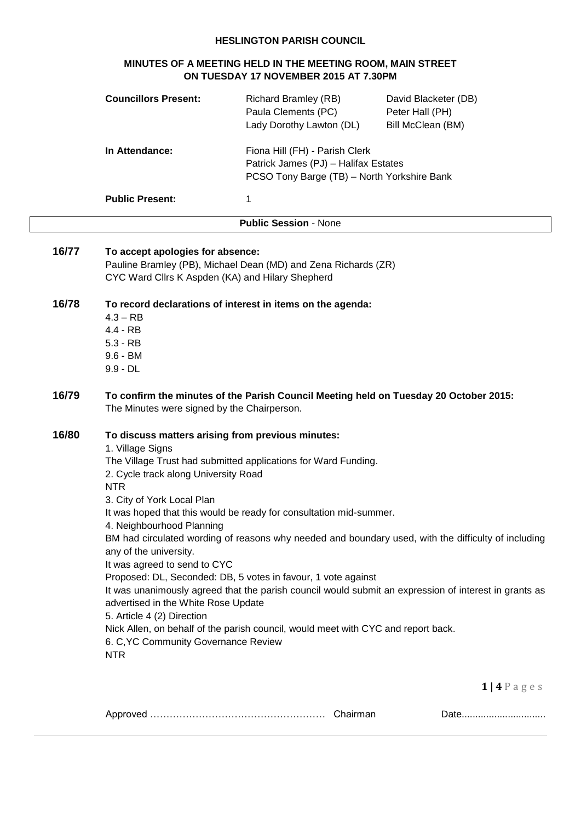### **HESLINGTON PARISH COUNCIL**

| MINUTES OF A MEETING HELD IN THE MEETING ROOM, MAIN STREET<br>ON TUESDAY 17 NOVEMBER 2015 AT 7.30PM |                                                                                                                                                                                   |                                                                                                                                                                                           |                                                                                                                                                                                                              |
|-----------------------------------------------------------------------------------------------------|-----------------------------------------------------------------------------------------------------------------------------------------------------------------------------------|-------------------------------------------------------------------------------------------------------------------------------------------------------------------------------------------|--------------------------------------------------------------------------------------------------------------------------------------------------------------------------------------------------------------|
|                                                                                                     | <b>Councillors Present:</b>                                                                                                                                                       | <b>Richard Bramley (RB)</b><br>Paula Clements (PC)<br>Lady Dorothy Lawton (DL)                                                                                                            | David Blacketer (DB)<br>Peter Hall (PH)<br>Bill McClean (BM)                                                                                                                                                 |
|                                                                                                     | In Attendance:                                                                                                                                                                    | Fiona Hill (FH) - Parish Clerk<br>Patrick James (PJ) - Halifax Estates<br>PCSO Tony Barge (TB) - North Yorkshire Bank                                                                     |                                                                                                                                                                                                              |
|                                                                                                     | <b>Public Present:</b>                                                                                                                                                            | 1                                                                                                                                                                                         |                                                                                                                                                                                                              |
|                                                                                                     |                                                                                                                                                                                   | <b>Public Session - None</b>                                                                                                                                                              |                                                                                                                                                                                                              |
| 16/77                                                                                               | To accept apologies for absence:<br>CYC Ward Cllrs K Aspden (KA) and Hilary Shepherd                                                                                              | Pauline Bramley (PB), Michael Dean (MD) and Zena Richards (ZR)                                                                                                                            |                                                                                                                                                                                                              |
| 16/78                                                                                               | $4.3 - RB$<br>$4.4 - RB$<br>$5.3 - RB$<br>$9.6 - BM$<br>$9.9 - DL$                                                                                                                | To record declarations of interest in items on the agenda:                                                                                                                                |                                                                                                                                                                                                              |
| 16/79                                                                                               | The Minutes were signed by the Chairperson.                                                                                                                                       | To confirm the minutes of the Parish Council Meeting held on Tuesday 20 October 2015:                                                                                                     |                                                                                                                                                                                                              |
| 16/80                                                                                               | 1. Village Signs<br>2. Cycle track along University Road<br><b>NTR</b><br>3. City of York Local Plan<br>4. Neighbourhood Planning                                                 | To discuss matters arising from previous minutes:<br>The Village Trust had submitted applications for Ward Funding.<br>It was hoped that this would be ready for consultation mid-summer. |                                                                                                                                                                                                              |
|                                                                                                     | any of the university.<br>It was agreed to send to CYC<br>advertised in the White Rose Update<br>5. Article 4 (2) Direction<br>6. C, YC Community Governance Review<br><b>NTR</b> | Proposed: DL, Seconded: DB, 5 votes in favour, 1 vote against<br>Nick Allen, on behalf of the parish council, would meet with CYC and report back.                                        | BM had circulated wording of reasons why needed and boundary used, with the difficulty of including<br>It was unanimously agreed that the parish council would submit an expression of interest in grants as |

| Appro <sup>.</sup> | $1 - 1$ |
|--------------------|---------|
|                    |         |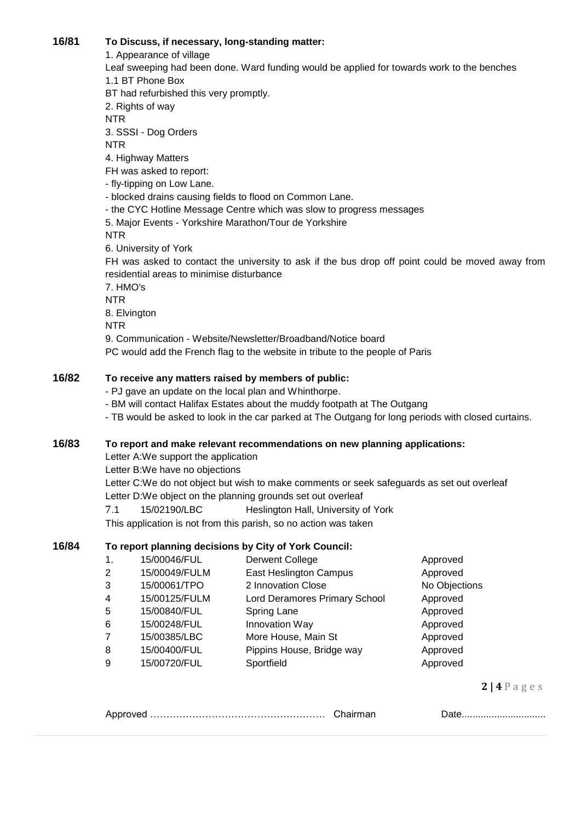# **16/81 To Discuss, if necessary, long-standing matter:**

1. Appearance of village

Leaf sweeping had been done. Ward funding would be applied for towards work to the benches 1.1 BT Phone Box BT had refurbished this very promptly.

2. Rights of way

NTR

3. SSSI - Dog Orders

NTR

4. Highway Matters

FH was asked to report:

- fly-tipping on Low Lane.

- blocked drains causing fields to flood on Common Lane.

- the CYC Hotline Message Centre which was slow to progress messages

5. Major Events - Yorkshire Marathon/Tour de Yorkshire

NTR

6. University of York

FH was asked to contact the university to ask if the bus drop off point could be moved away from residential areas to minimise disturbance

7. HMO's

NTR

8. Elvington

NTR

9. Communication - Website/Newsletter/Broadband/Notice board

PC would add the French flag to the website in tribute to the people of Paris

## **16/82 To receive any matters raised by members of public:**

- PJ gave an update on the local plan and Whinthorpe.

- BM will contact Halifax Estates about the muddy footpath at The Outgang

- TB would be asked to look in the car parked at The Outgang for long periods with closed curtains.

## **16/83 To report and make relevant recommendations on new planning applications:**

Letter A:We support the application

Letter B:We have no objections

Letter C:We do not object but wish to make comments or seek safeguards as set out overleaf Letter D:We object on the planning grounds set out overleaf

7.1 15/02190/LBC Heslington Hall, University of York

This application is not from this parish, so no action was taken

## **16/84 To report planning decisions by City of York Council:**

1. 15/00046/FUL Derwent College **Approved** 2 15/00049/FULM East Heslington Campus Approved 3 15/00061/TPO 2 Innovation Close 2 No Objections 4 15/00125/FULM Lord Deramores Primary School Approved 5 15/00840/FUL Spring Lane **Spring Lane** Approved 6 15/00248/FUL Innovation Way Approved 7 15/00385/LBC More House, Main St Approved 8 15/00400/FUL Pippins House, Bridge way Approved 9 15/00720/FUL Sportfield Approved

**2 | 4** P a g e s

|--|--|--|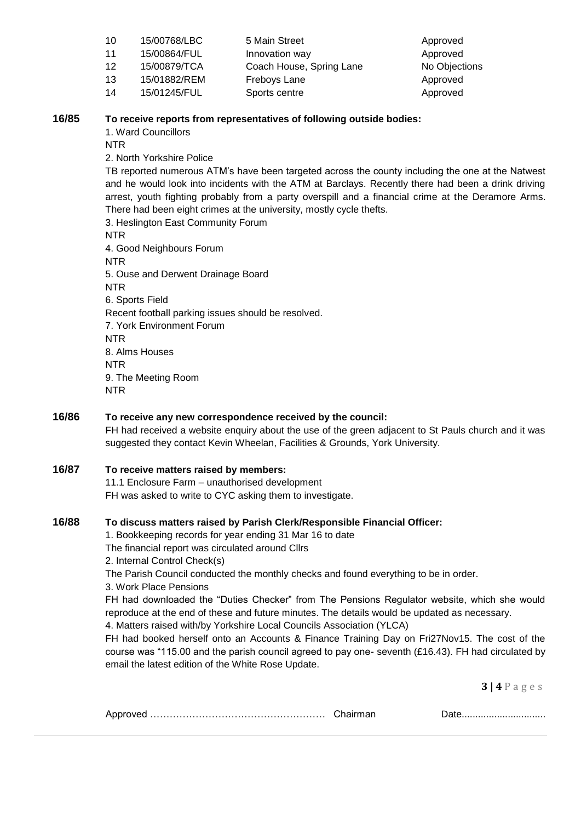| 10 | 15/00768/LBC | 5 Main Street            | Approved      |
|----|--------------|--------------------------|---------------|
| 11 | 15/00864/FUL | Innovation way           | Approved      |
| 12 | 15/00879/TCA | Coach House, Spring Lane | No Objections |
| 13 | 15/01882/REM | Freboys Lane             | Approved      |
| 14 | 15/01245/FUL | Sports centre            | Approved      |

#### **16/85 To receive reports from representatives of following outside bodies:**

1. Ward Councillors

NTR

2. North Yorkshire Police

TB reported numerous ATM's have been targeted across the county including the one at the Natwest and he would look into incidents with the ATM at Barclays. Recently there had been a drink driving arrest, youth fighting probably from a party overspill and a financial crime at the Deramore Arms. There had been eight crimes at the university, mostly cycle thefts.

3. Heslington East Community Forum NTR 4. Good Neighbours Forum NTR 5. Ouse and Derwent Drainage Board NTR 6. Sports Field Recent football parking issues should be resolved. 7. York Environment Forum NTR 8. Alms Houses NTR 9. The Meeting Room NTR

## **16/86 To receive any new correspondence received by the council:**

FH had received a website enquiry about the use of the green adjacent to St Pauls church and it was suggested they contact Kevin Wheelan, Facilities & Grounds, York University.

### **16/87 To receive matters raised by members:**

11.1 Enclosure Farm – unauthorised development FH was asked to write to CYC asking them to investigate.

### **16/88 To discuss matters raised by Parish Clerk/Responsible Financial Officer:**

1. Bookkeeping records for year ending 31 Mar 16 to date

The financial report was circulated around Cllrs

2. Internal Control Check(s)

The Parish Council conducted the monthly checks and found everything to be in order.

3. Work Place Pensions

FH had downloaded the "Duties Checker" from The Pensions Regulator website, which she would reproduce at the end of these and future minutes. The details would be updated as necessary.

4. Matters raised with/by Yorkshire Local Councils Association (YLCA)

FH had booked herself onto an Accounts & Finance Training Day on Fri27Nov15. The cost of the course was "115.00 and the parish council agreed to pay one- seventh (£16.43). FH had circulated by email the latest edition of the White Rose Update.

**3 | 4** P a g e s